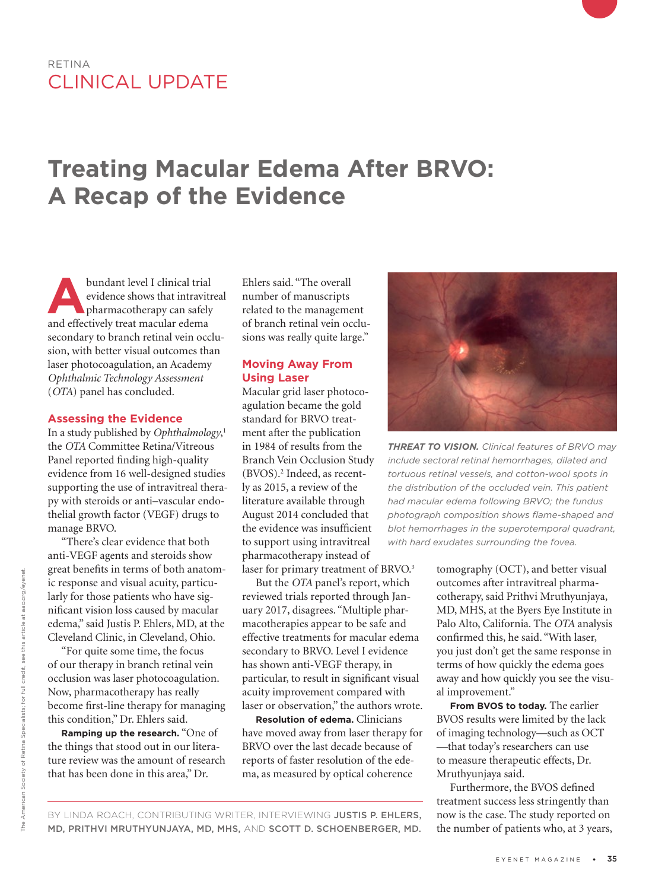# RETINA CLINICAL UPDATE

# **Treating Macular Edema After BRVO: A Recap of the Evidence**

**Abundant level I clinical trial evidence shows that intravitre<br>
pharmacotherapy can safely<br>
and effectively treat macular edema** evidence shows that intravitreal and effectively treat macular edema secondary to branch retinal vein occlusion, with better visual outcomes than laser photocoagulation, an Academy *Ophthalmic Technology Assessment*  (*OTA*) panel has concluded.

## **Assessing the Evidence**

In a study published by *Ophthalmology*, 1 the *OTA* Committee Retina/Vitreous Panel reported finding high-quality evidence from 16 well-designed studies supporting the use of intravitreal therapy with steroids or anti–vascular endothelial growth factor (VEGF) drugs to manage BRVO.

"There's clear evidence that both anti-VEGF agents and steroids show great benefits in terms of both anatomic response and visual acuity, particularly for those patients who have significant vision loss caused by macular edema," said Justis P. Ehlers, MD, at the Cleveland Clinic, in Cleveland, Ohio.

"For quite some time, the focus of our therapy in branch retinal vein occlusion was laser photocoagulation. Now, pharmacotherapy has really become first-line therapy for managing this condition," Dr. Ehlers said.

**Ramping up the research.** "One of the things that stood out in our literature review was the amount of research that has been done in this area," Dr.

Ehlers said. "The overall number of manuscripts related to the management of branch retinal vein occlusions was really quite large."

# **Moving Away From Using Laser**

Macular grid laser photocoagulation became the gold standard for BRVO treatment after the publication in 1984 of results from the Branch Vein Occlusion Study (BVOS).2 Indeed, as recently as 2015, a review of the literature available through August 2014 concluded that the evidence was insufficient to support using intravitreal pharmacotherapy instead of laser for primary treatment of BRVO.<sup>3</sup>

But the *OTA* panel's report, which reviewed trials reported through January 2017, disagrees. "Multiple pharmacotherapies appear to be safe and effective treatments for macular edema secondary to BRVO. Level I evidence has shown anti-VEGF therapy, in particular, to result in significant visual acuity improvement compared with laser or observation," the authors wrote.

**Resolution of edema.** Clinicians have moved away from laser therapy for BRVO over the last decade because of reports of faster resolution of the edema, as measured by optical coherence



*THREAT TO VISION. Clinical features of BRVO may include sectoral retinal hemorrhages, dilated and tortuous retinal vessels, and cotton-wool spots in the distribution of the occluded vein. This patient had macular edema following BRVO; the fundus photograph composition shows flame-shaped and blot hemorrhages in the superotemporal quadrant, with hard exudates surrounding the fovea.*

tomography (OCT), and better visual outcomes after intravitreal pharmacotherapy, said Prithvi Mruthyunjaya, MD, MHS, at the Byers Eye Institute in Palo Alto, California. The *OTA* analysis confirmed this, he said. "With laser, you just don't get the same response in terms of how quickly the edema goes away and how quickly you see the visual improvement."

**From BVOS to today.** The earlier BVOS results were limited by the lack of imaging technology—such as OCT —that today's researchers can use to measure therapeutic effects, Dr. Mruthyunjaya said.

Furthermore, the BVOS defined treatment success less stringently than now is the case. The study reported on the number of patients who, at 3 years,

BY LINDA ROACH, CONTRIBUTING WRITER, INTERVIEWING JUSTIS P. EHLERS, MD, PRITHVI MRUTHYUNJAYA, MD, MHS, AND SCOTT D. SCHOENBERGER, MD.